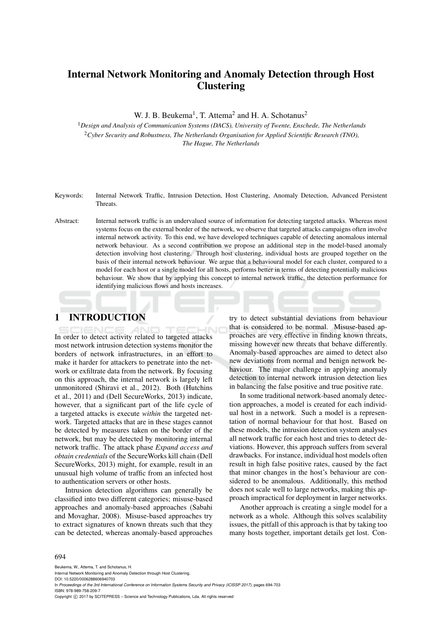# Internal Network Monitoring and Anomaly Detection through Host **Clustering**

W. J. B. Beukema<sup>1</sup>, T. Attema<sup>2</sup> and H. A. Schotanus<sup>2</sup>

<sup>1</sup>*Design and Analysis of Communication Systems (DACS), University of Twente, Enschede, The Netherlands* <sup>2</sup>*Cyber Security and Robustness, The Netherlands Organisation for Applied Scientific Research (TNO), The Hague, The Netherlands*

Keywords: Internal Network Traffic, Intrusion Detection, Host Clustering, Anomaly Detection, Advanced Persistent Threats.

Abstract: Internal network traffic is an undervalued source of information for detecting targeted attacks. Whereas most systems focus on the external border of the network, we observe that targeted attacks campaigns often involve internal network activity. To this end, we have developed techniques capable of detecting anomalous internal network behaviour. As a second contribution we propose an additional step in the model-based anomaly detection involving host clustering. Through host clustering, individual hosts are grouped together on the basis of their internal network behaviour. We argue that a behavioural model for each cluster, compared to a model for each host or a single model for all hosts, performs better in terms of detecting potentially malicious behaviour. We show that by applying this concept to internal network traffic, the detection performance for identifying malicious flows and hosts increases.

# 1 INTRODUCTION

In order to detect activity related to targeted attacks most network intrusion detection systems monitor the borders of network infrastructures, in an effort to make it harder for attackers to penetrate into the network or exfiltrate data from the network. By focusing on this approach, the internal network is largely left unmonitored (Shiravi et al., 2012). Both (Hutchins et al., 2011) and (Dell SecureWorks, 2013) indicate, however, that a significant part of the life cycle of a targeted attacks is execute *within* the targeted network. Targeted attacks that are in these stages cannot be detected by measures taken on the border of the network, but may be detected by monitoring internal network traffic. The attack phase *Expand access and obtain credentials* of the SecureWorks kill chain (Dell SecureWorks, 2013) might, for example, result in an unusual high volume of traffic from an infected host to authentication servers or other hosts.

Intrusion detection algorithms can generally be classified into two different categories; misuse-based approaches and anomaly-based approaches (Sabahi and Movaghar, 2008). Misuse-based approaches try to extract signatures of known threats such that they can be detected, whereas anomaly-based approaches

try to detect substantial deviations from behaviour that is considered to be normal. Misuse-based approaches are very effective in finding known threats, missing however new threats that behave differently. Anomaly-based approaches are aimed to detect also new deviations from normal and benign network behaviour. The major challenge in applying anomaly detection to internal network intrusion detection lies in balancing the false positive and true positive rate.

In some traditional network-based anomaly detection approaches, a model is created for each individual host in a network. Such a model is a representation of normal behaviour for that host. Based on these models, the intrusion detection system analyses all network traffic for each host and tries to detect deviations. However, this approach suffers from several drawbacks. For instance, individual host models often result in high false positive rates, caused by the fact that minor changes in the host's behaviour are considered to be anomalous. Additionally, this method does not scale well to large networks, making this approach impractical for deployment in larger networks.

Another approach is creating a single model for a network as a whole. Although this solves scalability issues, the pitfall of this approach is that by taking too many hosts together, important details get lost. Con-

#### 694

Beukema, W., Attema, T. and Schotanus, H. Internal Network Monitoring and Anomaly Detection through Host Clustering.

DOI: 10.5220/0006288606940703

In *Proceedings of the 3rd International Conference on Information Systems Security and Privacy (ICISSP 2017)*, pages 694-703 ISBN: 978-989-758-209-7

Copyright (C) 2017 by SCITEPRESS - Science and Technology Publications, Lda. All rights reserved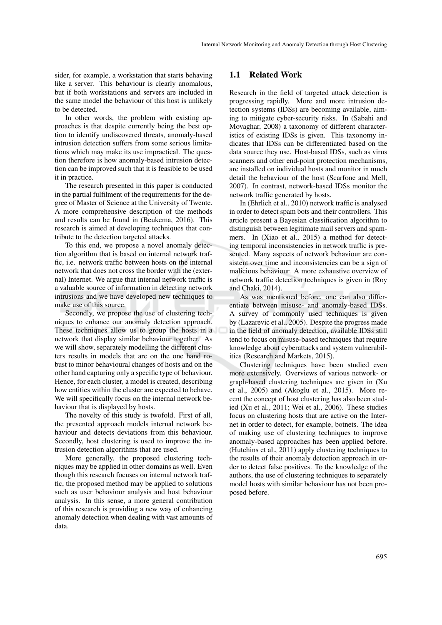sider, for example, a workstation that starts behaving like a server. This behaviour is clearly anomalous, but if both workstations and servers are included in the same model the behaviour of this host is unlikely to be detected.

In other words, the problem with existing approaches is that despite currently being the best option to identify undiscovered threats, anomaly-based intrusion detection suffers from some serious limitations which may make its use impractical. The question therefore is how anomaly-based intrusion detection can be improved such that it is feasible to be used it in practice.

The research presented in this paper is conducted in the partial fulfilment of the requirements for the degree of Master of Science at the University of Twente. A more comprehensive description of the methods and results can be found in (Beukema, 2016). This research is aimed at developing techniques that contribute to the detection targeted attacks.

To this end, we propose a novel anomaly detection algorithm that is based on internal network traffic, i.e. network traffic between hosts on the internal network that does not cross the border with the (external) Internet. We argue that internal network traffic is a valuable source of information in detecting network intrusions and we have developed new techniques to make use of this source.

Secondly, we propose the use of clustering techniques to enhance our anomaly detection approach. These techniques allow us to group the hosts in a network that display similar behaviour together. As we will show, separately modelling the different clusters results in models that are on the one hand robust to minor behavioural changes of hosts and on the other hand capturing only a specific type of behaviour. Hence, for each cluster, a model is created, describing how entities within the cluster are expected to behave. We will specifically focus on the internal network behaviour that is displayed by hosts.

The novelty of this study is twofold. First of all, the presented approach models internal network behaviour and detects deviations from this behaviour. Secondly, host clustering is used to improve the intrusion detection algorithms that are used.

More generally, the proposed clustering techniques may be applied in other domains as well. Even though this research focuses on internal network traffic, the proposed method may be applied to solutions such as user behaviour analysis and host behaviour analysis. In this sense, a more general contribution of this research is providing a new way of enhancing anomaly detection when dealing with vast amounts of data.

#### 1.1 Related Work

Research in the field of targeted attack detection is progressing rapidly. More and more intrusion detection systems (IDSs) are becoming available, aiming to mitigate cyber-security risks. In (Sabahi and Movaghar, 2008) a taxonomy of different characteristics of existing IDSs is given. This taxonomy indicates that IDSs can be differentiated based on the data source they use. Host-based IDSs, such as virus scanners and other end-point protection mechanisms, are installed on individual hosts and monitor in much detail the behaviour of the host (Scarfone and Mell, 2007). In contrast, network-based IDSs monitor the network traffic generated by hosts.

In (Ehrlich et al., 2010) network traffic is analysed in order to detect spam bots and their controllers. This article present a Bayesian classification algorithm to distinguish between legitimate mail servers and spammers. In (Xiao et al., 2015) a method for detecting temporal inconsistencies in network traffic is presented. Many aspects of network behaviour are consistent over time and inconsistencies can be a sign of malicious behaviour. A more exhaustive overview of network traffic detection techniques is given in (Roy and Chaki, 2014).

As was mentioned before, one can also differentiate between misuse- and anomaly-based IDSs. A survey of commonly used techniques is given by (Lazarevic et al., 2005). Despite the progress made in the field of anomaly detection, available IDSs still tend to focus on misuse-based techniques that require knowledge about cyberattacks and system vulnerabilities (Research and Markets, 2015).

Clustering techniques have been studied even more extensively. Overviews of various network- or graph-based clustering techniques are given in (Xu et al., 2005) and (Akoglu et al., 2015). More recent the concept of host clustering has also been studied (Xu et al., 2011; Wei et al., 2006). These studies focus on clustering hosts that are active on the Internet in order to detect, for example, botnets. The idea of making use of clustering techniques to improve anomaly-based approaches has been applied before. (Hutchins et al., 2011) apply clustering techniques to the results of their anomaly detection approach in order to detect false positives. To the knowledge of the authors, the use of clustering techniques to separately model hosts with similar behaviour has not been proposed before.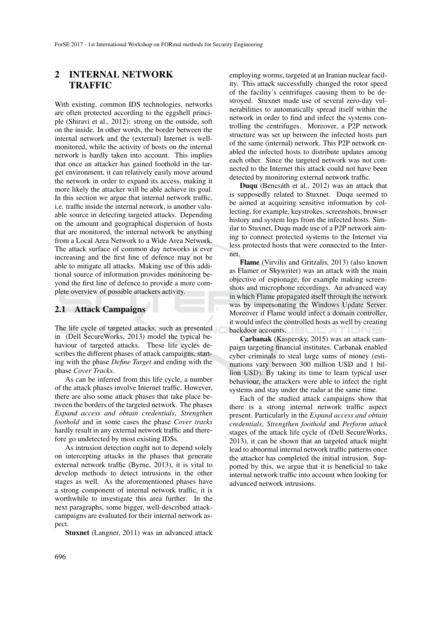# 2 INTERNAL NETWORK **TRAFFIC**

With existing, common IDS technologies, networks are often protected according to the eggshell principle (Shiravi et al., 2012): strong on the outside, soft on the inside. In other words, the border between the internal network and the (external) Internet is wellmonitored, while the activity of hosts on the internal network is hardly taken into account. This implies that once an attacker has gained foothold in the target environment, it can relatively easily move around the network in order to expand its access, making it more likely the attacker will be able achieve its goal. In this section we argue that internal network traffic, i.e. traffic inside the internal network, is another valuable source in detecting targeted attacks. Depending on the amount and geographical dispersion of hosts that are monitored, the internal network be anything from a Local Area Network to a Wide Area Network. The attack surface of common day networks is ever increasing and the first line of defence may not be able to mitigate all attacks. Making use of this additional source of information provides monitoring beyond the first line of defence to provide a more complete overview of possible attackers activity.

#### 2.1 Attack Campaigns

The life cycle of targeted attacks, such as presented in (Dell SecureWorks, 2013) model the typical behaviour of targeted attacks. These life cycles describes the different phases of attack campaigns, starting with the phase *Define Target* and ending with the phase *Cover Tracks*.

As can be inferred from this life cycle, a number of the attack phases involve Internet traffic. However, there are also some attack phases that take place between the borders of the targeted network. The phases *Expand access and obtain credentials*, *Strengthen foothold* and in some cases the phase *Cover tracks* hardly result in any external network traffic and therefore go undetected by most existing IDSs.

As intrusion detection ought not to depend solely on intercepting attacks in the phases that generate external network traffic (Byrne, 2013), it is vital to develop methods to detect intrusions in the other stages as well. As the aforementioned phases have a strong component of internal network traffic, it is worthwhile to investigate this area further. In the next paragraphs, some bigger, well-described attackcampaigns are evaluated for their internal network aspect.

Stuxnet (Langner, 2011) was an advanced attack

employing worms, targeted at an Iranian nuclear facility. This attack successfully changed the rotor speed of the facility's centrifuges causing them to be destroyed. Stuxnet made use of several zero-day vulnerabilities to automatically spread itself within the network in order to find and infect the systems controlling the centrifuges. Moreover, a P2P network structure was set up between the infected hosts part of the same (internal) network. This P2P network enabled the infected hosts to distribute updates among each other. Since the targeted network was not connected to the Internet this attack could not have been detected by monitoring external network traffic.

Duqu (Bencsáth et al., 2012) was an attack that is supposedly related to Stuxnet. Duqu seemed to be aimed at acquiring sensitive information by collecting, for example, keystrokes, screenshots, browser history and system logs from the infected hosts. Similar to Stuxnet, Duqu made use of a P2P network aiming to connect protected systems to the Internet via less protected hosts that were connected to the Internet.

Flame (Virvilis and Gritzalis, 2013) (also known as Flamer or Skywriter) was an attack with the main objective of espionage, for example making screenshots and microphone recordings. An advanced way in which Flame propagated itself through the network was by impersonating the Windows Update Server. Moreover if Flame would infect a domain controller, it would infect the controlled hosts as well by creating backdoor accounts.

Carbanak (Kaspersky, 2015) was an attack campaign targeting financial institutes. Carbanak enabled cyber criminals to steal large sums of money (estimations vary between 300 million USD and 1 billion USD). By taking its time to learn typical user behaviour, the attackers were able to infect the right systems and stay under the radar at the same time.

Each of the studied attack campaigns show that there is a strong internal network traffic aspect present. Particularly in the *Expand access and obtain credentials*, *Strengthen foothold* and *Perform attack* stages of the attack life cycle of (Dell SecureWorks, 2013), it can be shown that an targeted attack might lead to abnormal internal network traffic patterns once the attacker has completed the initial intrusion. Supported by this, we argue that it is beneficial to take internal network traffic into account when looking for advanced network intrusions.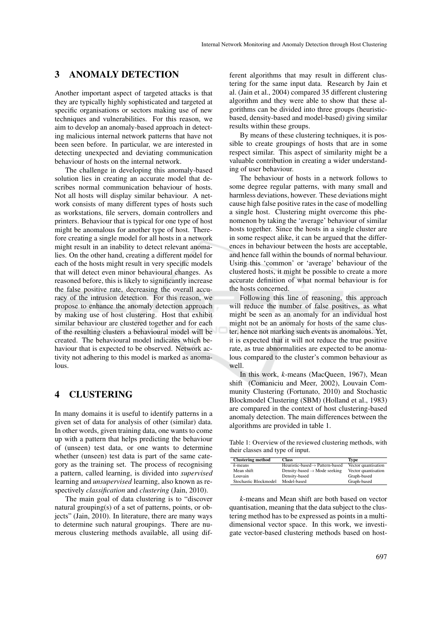## 3 ANOMALY DETECTION

Another important aspect of targeted attacks is that they are typically highly sophisticated and targeted at specific organisations or sectors making use of new techniques and vulnerabilities. For this reason, we aim to develop an anomaly-based approach in detecting malicious internal network patterns that have not been seen before. In particular, we are interested in detecting unexpected and deviating communication behaviour of hosts on the internal network.

The challenge in developing this anomaly-based solution lies in creating an accurate model that describes normal communication behaviour of hosts. Not all hosts will display similar behaviour. A network consists of many different types of hosts such as workstations, file servers, domain controllers and printers. Behaviour that is typical for one type of host might be anomalous for another type of host. Therefore creating a single model for all hosts in a network might result in an inability to detect relevant anomalies. On the other hand, creating a different model for each of the hosts might result in very specific models that will detect even minor behavioural changes. As reasoned before, this is likely to significantly increase the false positive rate, decreasing the overall accuracy of the intrusion detection. For this reason, we propose to enhance the anomaly detection approach by making use of host clustering. Host that exhibit similar behaviour are clustered together and for each of the resulting clusters a behavioural model will be created. The behavioural model indicates which behaviour that is expected to be observed. Network activity not adhering to this model is marked as anomalous.

#### 4 CLUSTERING

In many domains it is useful to identify patterns in a given set of data for analysis of other (similar) data. In other words, given training data, one wants to come up with a pattern that helps predicting the behaviour of (unseen) test data, or one wants to determine whether (unseen) test data is part of the same category as the training set. The process of recognising a pattern, called learning, is divided into *supervised* learning and *unsupervised* learning, also known as respectively *classification* and *clustering* (Jain, 2010).

The main goal of data clustering is to "discover natural grouping(s) of a set of patterns, points, or objects" (Jain, 2010). In literature, there are many ways to determine such natural groupings. There are numerous clustering methods available, all using dif-

ferent algorithms that may result in different clustering for the same input data. Research by Jain et al. (Jain et al., 2004) compared 35 different clustering algorithm and they were able to show that these algorithms can be divided into three groups (heuristicbased, density-based and model-based) giving similar results within these groups.

By means of these clustering techniques, it is possible to create groupings of hosts that are in some respect similar. This aspect of similarity might be a valuable contribution in creating a wider understanding of user behaviour.

The behaviour of hosts in a network follows to some degree regular patterns, with many small and harmless deviations, however. These deviations might cause high false positive rates in the case of modelling a single host. Clustering might overcome this phenomenon by taking the 'average' behaviour of similar hosts together. Since the hosts in a single cluster are in some respect alike, it can be argued that the differences in behaviour between the hosts are acceptable, and hence fall within the bounds of normal behaviour. Using this 'common' or 'average' behaviour of the clustered hosts, it might be possible to create a more accurate definition of what normal behaviour is for the hosts concerned.

Following this line of reasoning, this approach will reduce the number of false positives, as what might be seen as an anomaly for an individual host might not be an anomaly for hosts of the same cluster, hence not marking such events as anomalous. Yet, it is expected that it will not reduce the true positive rate, as true abnormalities are expected to be anomalous compared to the cluster's common behaviour as  $w<sub>e</sub>11$ 

In this work, *k*-means (MacQueen, 1967), Mean shift (Comaniciu and Meer, 2002), Louvain Community Clustering (Fortunato, 2010) and Stochastic Blockmodel Clustering (SBM) (Holland et al., 1983) are compared in the context of host clustering-based anomaly detection. The main differences between the algorithms are provided in table 1.

Table 1: Overview of the reviewed clustering methods, with their classes and type of input.

| <b>Clustering method</b> | <b>Class</b>                             | Tvpe                |
|--------------------------|------------------------------------------|---------------------|
| $k$ -means               | Heuristic-based→ Pattern-based           | Vector quantisation |
| Mean shift               | Density-based $\rightarrow$ Mode seeking | Vector quantisation |
| Louvain                  | Density-based                            | Graph-based         |
| Stochastic Blockmodel    | Model-based                              | Graph-based         |

*k*-means and Mean shift are both based on vector quantisation, meaning that the data subject to the clustering method has to be expressed as points in a multidimensional vector space. In this work, we investigate vector-based clustering methods based on host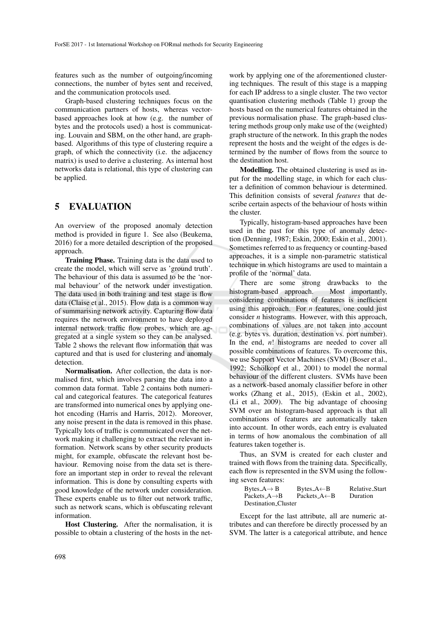features such as the number of outgoing/incoming connections, the number of bytes sent and received, and the communication protocols used.

Graph-based clustering techniques focus on the communication partners of hosts, whereas vectorbased approaches look at how (e.g. the number of bytes and the protocols used) a host is communicating. Louvain and SBM, on the other hand, are graphbased. Algorithms of this type of clustering require a graph, of which the connectivity (i.e. the adjacency matrix) is used to derive a clustering. As internal host networks data is relational, this type of clustering can be applied.

#### 5 EVALUATION

An overview of the proposed anomaly detection method is provided in figure 1. See also (Beukema, 2016) for a more detailed description of the proposed approach.

Training Phase. Training data is the data used to create the model, which will serve as 'ground truth'. The behaviour of this data is assumed to be the 'normal behaviour' of the network under investigation. The data used in both training and test stage is flow data (Claise et al., 2015). Flow data is a common way of summarising network activity. Capturing flow data requires the network environment to have deployed internal network traffic flow probes, which are aggregated at a single system so they can be analysed. Table 2 shows the relevant flow information that was captured and that is used for clustering and anomaly detection.

Normalisation. After collection, the data is normalised first, which involves parsing the data into a common data format. Table 2 contains both numerical and categorical features. The categorical features are transformed into numerical ones by applying onehot encoding (Harris and Harris, 2012). Moreover, any noise present in the data is removed in this phase. Typically lots of traffic is communicated over the network making it challenging to extract the relevant information. Network scans by other security products might, for example, obfuscate the relevant host behaviour. Removing noise from the data set is therefore an important step in order to reveal the relevant information. This is done by consulting experts with good knowledge of the network under consideration. These experts enable us to filter out network traffic, such as network scans, which is obfuscating relevant information.

Host Clustering. After the normalisation, it is possible to obtain a clustering of the hosts in the net-

work by applying one of the aforementioned clustering techniques. The result of this stage is a mapping for each IP address to a single cluster. The two vector quantisation clustering methods (Table 1) group the hosts based on the numerical features obtained in the previous normalisation phase. The graph-based clustering methods group only make use of the (weighted) graph structure of the network. In this graph the nodes represent the hosts and the weight of the edges is determined by the number of flows from the source to the destination host.

Modelling. The obtained clustering is used as input for the modelling stage, in which for each cluster a definition of common behaviour is determined. This definition consists of several *features* that describe certain aspects of the behaviour of hosts within the cluster.

Typically, histogram-based approaches have been used in the past for this type of anomaly detection (Denning, 1987; Eskin, 2000; Eskin et al., 2001). Sometimes referred to as frequency or counting-based approaches, it is a simple non-parametric statistical technique in which histograms are used to maintain a profile of the 'normal' data.

There are some strong drawbacks to the histogram-based approach. Most importantly, considering combinations of features is inefficient using this approach. For *n* features, one could just consider *n* histograms. However, with this approach, combinations of values are not taken into account (e.g. bytes vs. duration, destination vs. port number). In the end, *n*! histograms are needed to cover all possible combinations of features. To overcome this, we use Support Vector Machines (SVM) (Boser et al., 1992; Schölkopf et al., 2001) to model the normal behaviour of the different clusters. SVMs have been as a network-based anomaly classifier before in other works (Zhang et al., 2015), (Eskin et al., 2002), (Li et al., 2009). The big advantage of choosing SVM over an histogram-based approach is that all combinations of features are automatically taken into account. In other words, each entry is evaluated in terms of how anomalous the combination of all features taken together is.

Thus, an SVM is created for each cluster and trained with flows from the training data. Specifically, each flow is represented in the SVM using the following seven features:

| Bytes_A $\rightarrow$ B    | Bytes_ $A \leftarrow B$   | Relative_Start |  |  |
|----------------------------|---------------------------|----------------|--|--|
| Packets_ $A \rightarrow B$ | Packets_ $A \leftarrow B$ | Duration       |  |  |
| Destination_Cluster        |                           |                |  |  |

Except for the last attribute, all are numeric attributes and can therefore be directly processed by an SVM. The latter is a categorical attribute, and hence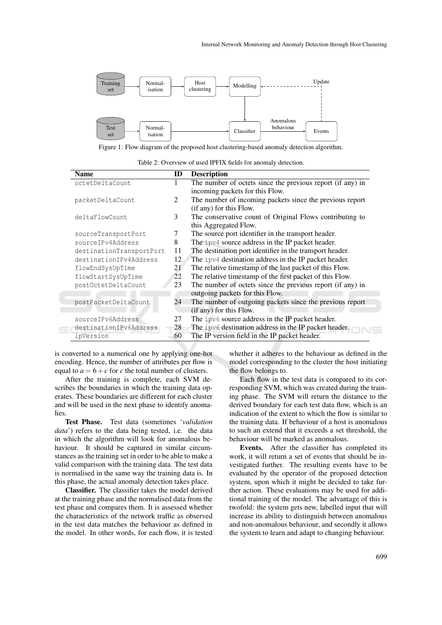

Figure 1: Flow diagram of the proposed host clustering-based anomaly detection algorithm.

Table 2: Overview of used IPFIX fields for anomaly detection.

| <b>Name</b>              | ID | <b>Description</b>                                         |
|--------------------------|----|------------------------------------------------------------|
| octetDeltaCount          |    | The number of octets since the previous report (if any) in |
|                          |    | incoming packets for this Flow.                            |
| packetDeltaCount         | 2  | The number of incoming packets since the previous report   |
|                          |    | (if any) for this Flow.                                    |
| deltaFlowCount           | 3  | The conservative count of Original Flows contributing to   |
|                          |    | this Aggregated Flow.                                      |
| sourceTransportPort      | 7  | The source port identifier in the transport header.        |
| sourceIPv4Address        | 8  | The ipv4 source address in the IP packet header.           |
| destinationTransportPort | 11 | The destination port identifier in the transport header.   |
| destinationIPv4Address   | 12 | The ipv4 destination address in the IP packet header.      |
| flowEndSysUpTime         | 21 | The relative timestamp of the last packet of this Flow.    |
| flowStartSysUpTime       | 22 | The relative timestamp of the first packet of this Flow.   |
| postOctetDeltaCount      | 23 | The number of octets since the previous report (if any) in |
|                          |    | outgoing packets for this Flow.                            |
| postPacketDeltaCount     | 24 | The number of outgoing packets since the previous report   |
|                          |    | (if any) for this Flow.                                    |
| sourceIPv6Address        | 27 | The ipv6 source address in the IP packet header.           |
| destinationIPv6Address   | 28 | The ipv6 destination address in the IP packet header.      |
| ipVersion                | 60 | The IP version field in the IP packet header.              |

is converted to a numerical one by applying one-hot encoding. Hence, the number of attributes per flow is equal to  $a = 6 + c$  for *c* the total number of clusters.

After the training is complete, each SVM describes the boundaries in which the training data operates. These boundaries are different for each cluster and will be used in the next phase to identify anomalies.

Test Phase. Test data (sometimes '*validation data*') refers to the data being tested, i.e. the data in which the algorithm will look for anomalous behaviour. It should be captured in similar circumstances as the training set in order to be able to make a valid comparison with the training data. The test data is normalised in the same way the training data is. In this phase, the actual anomaly detection takes place.

Classifier. The classifier takes the model derived at the training phase and the normalised data from the test phase and compares them. It is assessed whether the characteristics of the network traffic as observed in the test data matches the behaviour as defined in the model. In other words, for each flow, it is tested

whether it adheres to the behaviour as defined in the model corresponding to the cluster the host initiating the flow belongs to.

Each flow in the test data is compared to its corresponding SVM, which was created during the training phase. The SVM will return the distance to the derived boundary for each test data flow, which is an indication of the extent to which the flow is similar to the training data. If behaviour of a host is anomalous to such an extend that it exceeds a set threshold, the behaviour will be marked as anomalous.

Events. After the classifier has completed its work, it will return a set of events that should be investigated further. The resulting events have to be evaluated by the operator of the proposed detection system, upon which it might be decided to take further action. These evaluations may be used for additional training of the model. The advantage of this is twofold: the system gets new, labelled input that will increase its ability to distinguish between anomalous and non-anomalous behaviour, and secondly it allows the system to learn and adapt to changing behaviour.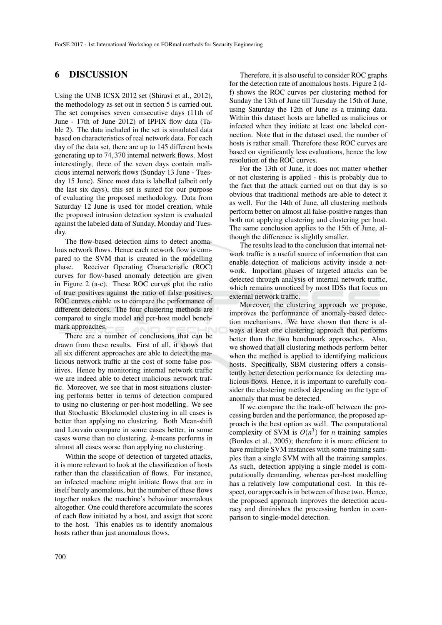#### 6 DISCUSSION

Using the UNB ICSX 2012 set (Shiravi et al., 2012), the methodology as set out in section 5 is carried out. The set comprises seven consecutive days (11th of June - 17th of June 2012) of IPFIX flow data (Table 2). The data included in the set is simulated data based on characteristics of real network data. For each day of the data set, there are up to 145 different hosts generating up to 74,370 internal network flows. Most interestingly, three of the seven days contain malicious internal network flows (Sunday 13 June - Tuesday 15 June). Since most data is labelled (albeit only the last six days), this set is suited for our purpose of evaluating the proposed methodology. Data from Saturday 12 June is used for model creation, while the proposed intrusion detection system is evaluated against the labeled data of Sunday, Monday and Tuesday.

The flow-based detection aims to detect anomalous network flows. Hence each network flow is compared to the SVM that is created in the modelling phase. Receiver Operating Characteristic (ROC) curves for flow-based anomaly detection are given in Figure 2 (a-c). These ROC curves plot the ratio of true positives against the ratio of false positives. ROC curves enable us to compare the performance of different detectors. The four clustering methods are compared to single model and per-host model benchmark approaches.

There are a number of conclusions that can be drawn from these results. First of all, it shows that all six different approaches are able to detect the malicious network traffic at the cost of some false positives. Hence by monitoring internal network traffic we are indeed able to detect malicious network traffic. Moreover, we see that in most situations clustering performs better in terms of detection compared to using no clustering or per-host modelling. We see that Stochastic Blockmodel clustering in all cases is better than applying no clustering. Both Mean-shift and Louvain compare in some cases better, in some cases worse than no clustering. *k*-means performs in almost all cases worse than applying no clustering.

Within the scope of detection of targeted attacks, it is more relevant to look at the classification of hosts rather than the classification of flows. For instance, an infected machine might initiate flows that are in itself barely anomalous, but the number of these flows together makes the machine's behaviour anomalous altogether. One could therefore accumulate the scores of each flow initiated by a host, and assign that score to the host. This enables us to identify anomalous hosts rather than just anomalous flows.

Therefore, it is also useful to consider ROC graphs for the detection rate of anomalous hosts. Figure 2 (df) shows the ROC curves per clustering method for Sunday the 13th of June till Tuesday the 15th of June, using Saturday the 12th of June as a training data. Within this dataset hosts are labelled as malicious or infected when they initiate at least one labeled connection. Note that in the dataset used, the number of hosts is rather small. Therefore these ROC curves are based on significantly less evaluations, hence the low resolution of the ROC curves.

For the 13th of June, it does not matter whether or not clustering is applied - this is probably due to the fact that the attack carried out on that day is so obvious that traditional methods are able to detect it as well. For the 14th of June, all clustering methods perform better on almost all false-positive ranges than both not applying clustering and clustering per host. The same conclusion applies to the 15th of June, although the difference is slightly smaller.

The results lead to the conclusion that internal network traffic is a useful source of information that can enable detection of malicious activity inside a network. Important phases of targeted attacks can be detected through analysis of internal network traffic, which remains unnoticed by most IDSs that focus on external network traffic.

Moreover, the clustering approach we propose, improves the performance of anomaly-based detection mechanisms. We have shown that there is always at least one clustering approach that performs better than the two benchmark approaches. Also, we showed that all clustering methods perform better when the method is applied to identifying malicious hosts. Specifically, SBM clustering offers a consistently better detection performance for detecting malicious flows. Hence, it is important to carefully consider the clustering method depending on the type of anomaly that must be detected.

If we compare the the trade-off between the processing burden and the performance, the proposed approach is the best option as well. The computational complexity of SVM is  $O(n^3)$  for *n* training samples (Bordes et al., 2005); therefore it is more efficient to have multiple SVM instances with some training samples than a single SVM with all the training samples. As such, detection applying a single model is computationally demanding, whereas per-host modelling has a relatively low computational cost. In this respect, our approach is in between of these two. Hence, the proposed approach improves the detection accuracy and diminishes the processing burden in comparison to single-model detection.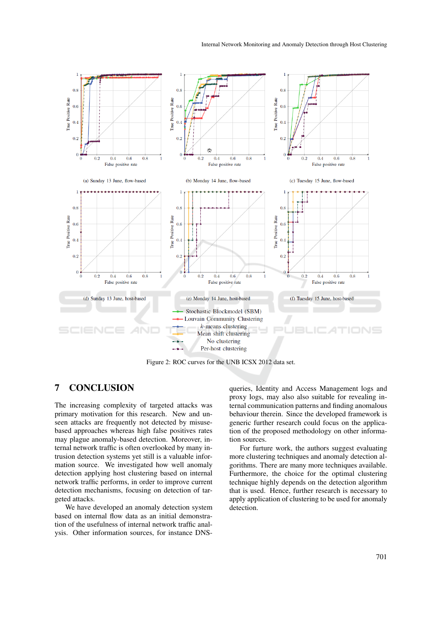

Figure 2: ROC curves for the UNB ICSX 2012 data set.

## 7 CONCLUSION

The increasing complexity of targeted attacks was primary motivation for this research. New and unseen attacks are frequently not detected by misusebased approaches whereas high false positives rates may plague anomaly-based detection. Moreover, internal network traffic is often overlooked by many intrusion detection systems yet still is a valuable information source. We investigated how well anomaly detection applying host clustering based on internal network traffic performs, in order to improve current detection mechanisms, focusing on detection of targeted attacks.

We have developed an anomaly detection system based on internal flow data as an initial demonstration of the usefulness of internal network traffic analysis. Other information sources, for instance DNS-

queries, Identity and Access Management logs and proxy logs, may also also suitable for revealing internal communication patterns and finding anomalous behaviour therein. Since the developed framework is generic further research could focus on the application of the proposed methodology on other information sources.

For furture work, the authors suggest evaluating more clustering techniques and anomaly detection algorithms. There are many more techniques available. Furthermore, the choice for the optimal clustering technique highly depends on the detection algorithm that is used. Hence, further research is necessary to apply application of clustering to be used for anomaly detection.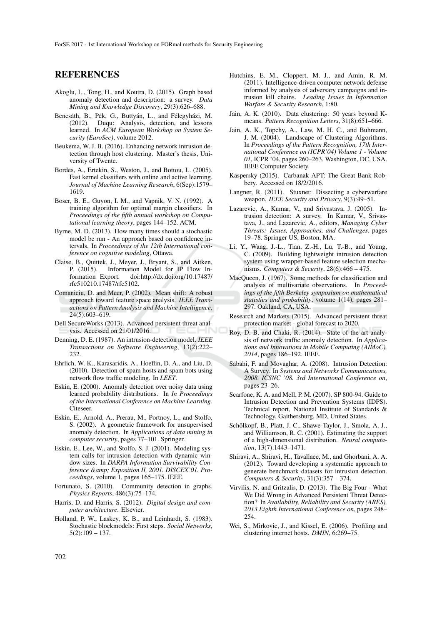#### REFERENCES

- Akoglu, L., Tong, H., and Koutra, D. (2015). Graph based anomaly detection and description: a survey. *Data Mining and Knowledge Discovery*, 29(3):626–688.
- Bencsáth, B., Pék, G., Buttyán, L., and Félegyházi, M. (2012). Duqu: Analysis, detection, and lessons learned. In *ACM European Workshop on System Security (EuroSec)*, volume 2012.
- Beukema, W. J. B. (2016). Enhancing network intrusion detection through host clustering. Master's thesis, University of Twente.
- Bordes, A., Ertekin, S., Weston, J., and Bottou, L. (2005). Fast kernel classifiers with online and active learning. *Journal of Machine Learning Research*, 6(Sep):1579– 1619.
- Boser, B. E., Guyon, I. M., and Vapnik, V. N. (1992). A training algorithm for optimal margin classifiers. In *Proceedings of the fifth annual workshop on Computational learning theory*, pages 144–152. ACM.
- Byrne, M. D. (2013). How many times should a stochastic model be run - An approach based on confidence intervals. In *Proceedings of the 12th International conference on cognitive modeling*, Ottawa.
- Claise, B., Quittek, J., Meyer, J., Bryant, S., and Aitken, P. (2015). Information Model for IP Flow Information Export. doi:http://dx.doi.org/10.17487/ rfc510210.17487/rfc5102.
- Comaniciu, D. and Meer, P. (2002). Mean shift: A robust approach toward feature space analysis. *IEEE Transactions on Pattern Analysis and Machine Intelligence*, 24(5):603–619.
- Dell SecureWorks (2013). Advanced persistent threat analysis. Accessed on 21/01/2016.
- Denning, D. E. (1987). An intrusion-detection model. *IEEE Transactions on Software Engineering*, 13(2):222– 232.
- Ehrlich, W. K., Karasaridis, A., Hoeflin, D. A., and Liu, D. (2010). Detection of spam hosts and spam bots using network flow traffic modeling. In *LEET*.
- Eskin, E. (2000). Anomaly detection over noisy data using learned probability distributions. In *In Proceedings of the International Conference on Machine Learning*. Citeseer.
- Eskin, E., Arnold, A., Prerau, M., Portnoy, L., and Stolfo, S. (2002). A geometric framework for unsupervised anomaly detection. In *Applications of data mining in computer security*, pages 77–101. Springer.
- Eskin, E., Lee, W., and Stolfo, S. J. (2001). Modeling system calls for intrusion detection with dynamic window sizes. In *DARPA Information Survivability Conference & Exposition II, 2001. DISCEX'01. Proceedings*, volume 1, pages 165–175. IEEE.
- Fortunato, S. (2010). Community detection in graphs. *Physics Reports*, 486(3):75–174.
- Harris, D. and Harris, S. (2012). *Digital design and computer architecture*. Elsevier.
- Holland, P. W., Laskey, K. B., and Leinhardt, S. (1983). Stochastic blockmodels: First steps. *Social Networks*,  $5(2):109 - 137.$
- Hutchins, E. M., Cloppert, M. J., and Amin, R. M. (2011). Intelligence-driven computer network defense informed by analysis of adversary campaigns and intrusion kill chains. *Leading Issues in Information Warfare & Security Research*, 1:80.
- Jain, A. K. (2010). Data clustering: 50 years beyond Kmeans. *Pattern Recognition Letters*, 31(8):651–666.
- Jain, A. K., Topchy, A., Law, M. H. C., and Buhmann, J. M. (2004). Landscape of Clustering Algorithms. In *Proceedings of the Pattern Recognition, 17th International Conference on (ICPR'04) Volume 1 - Volume 01*, ICPR '04, pages 260–263, Washington, DC, USA. IEEE Computer Society.
- Kaspersky (2015). Carbanak APT: The Great Bank Robbery. Accessed on 18/2/2016.
- Langner, R. (2011). Stuxnet: Dissecting a cyberwarfare weapon. *IEEE Security and Privacy*, 9(3):49–51.
- Lazarevic, A., Kumar, V., and Srivastava, J. (2005). Intrusion detection: A survey. In Kumar, V., Srivastava, J., and Lazarevic, A., editors, *Managing Cyber Threats: Issues, Approaches, and Challenges*, pages 19–78. Springer US, Boston, MA.
- Li, Y., Wang, J.-L., Tian, Z.-H., Lu, T.-B., and Young, C. (2009). Building lightweight intrusion detection system using wrapper-based feature selection mechanisms. *Computers & Security*, 28(6):466 – 475.
- MacQueen, J. (1967). Some methods for classification and analysis of multivariate observations. In *Proceedings of the fifth Berkeley symposium on mathematical statistics and probability*, volume 1(14), pages 281– 297. Oakland, CA, USA.
- Research and Markets (2015). Advanced persistent threat protection market - global forecast to 2020.
- Roy, D. B. and Chaki, R. (2014). State of the art analysis of network traffic anomaly detection. In *Applications and Innovations in Mobile Computing (AIMoC), 2014*, pages 186–192. IEEE.
- Sabahi, F. and Movaghar, A. (2008). Intrusion Detection: A Survey. In *Systems and Networks Communications, 2008. ICSNC '08. 3rd International Conference on*, pages 23–26.
- Scarfone, K. A. and Mell, P. M. (2007). SP 800-94. Guide to Intrusion Detection and Prevention Systems (IDPS). Technical report, National Institute of Standards & Technology, Gaithersburg, MD, United States.
- Schölkopf, B., Platt, J. C., Shawe-Taylor, J., Smola, A. J., and Williamson, R. C. (2001). Estimating the support of a high-dimensional distribution. *Neural computation*, 13(7):1443–1471.
- Shiravi, A., Shiravi, H., Tavallaee, M., and Ghorbani, A. A. (2012). Toward developing a systematic approach to generate benchmark datasets for intrusion detection. *Computers & Security*, 31(3):357 – 374.
- Virvilis, N. and Gritzalis, D. (2013). The Big Four What We Did Wrong in Advanced Persistent Threat Detection? In *Availability, Reliability and Security (ARES), 2013 Eighth International Conference on*, pages 248– 254.
- Wei, S., Mirkovic, J., and Kissel, E. (2006). Profiling and clustering internet hosts. *DMIN*, 6:269–75.